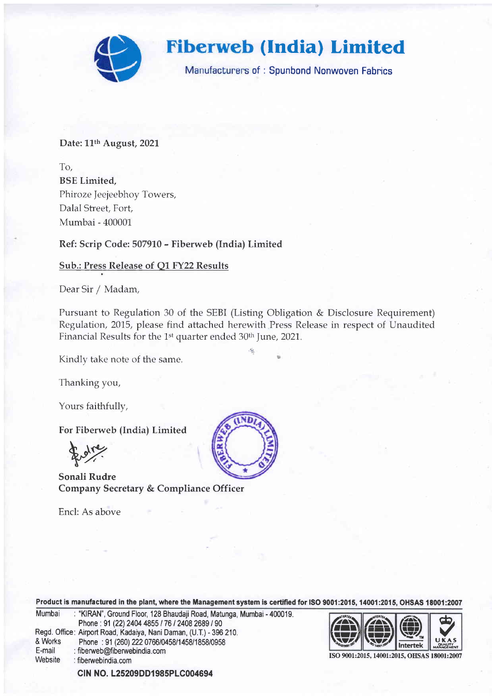

### Date: 11<sup>th</sup> August, 2021

To, BSE Limited, Phiroze Jeejeebhoy Towers, Dalal Street, Fort, Mumbai - 400001

Ref: Scrip Code: 507910 - Fiberweb (India) Limited

## Sub.: Press Release of Q1 FY22 Results

Dear Sir / Madam,

Pursuant to Regulation 30 of the SEBI (Listing Obligation & Disclosure Requirement) Regulation, 2075, please find attached herewith Press Release in respect of Unaudited Financial Results for the 1<sup>st</sup> quarter ended 30<sup>th</sup> June, 2021.

 $\mathbf{r}_i$ 

Kindly take note of the same.

Thanking you,

Yours faithfully,

For Fiberweb (India) Limited

Fraire.

Sonali Rudre Company Secretary & Compliance Officer

Encl: As above



Product is manufactured in the plant, where the Management system is certified for ISO 9001:2015, 14001:2015, OHSAS 18001:2007

| Mumbai  | : "KIRAN", Ground Floor, 128 Bhaudaji Road, Matunga, Mumbai - 400019. |
|---------|-----------------------------------------------------------------------|
|         | Phone: 91 (22) 2404 4855 / 76 / 2408 2689 / 90                        |
|         | Regd. Office: Airport Road, Kadaiya, Nani Daman, (U.T.) - 396 210.    |
| & Works | Phone: 91 (260) 222 0766/0458/1458/1858/0958                          |
| E-mail  | : fiberweb@fiberwebindia.com                                          |
| Website | : fiberwebindia.com                                                   |
|         | CIN NO. L25209DD1985PLC004694                                         |



ISO 9001:2015, 14001:2015, OHSAS 18001:2007